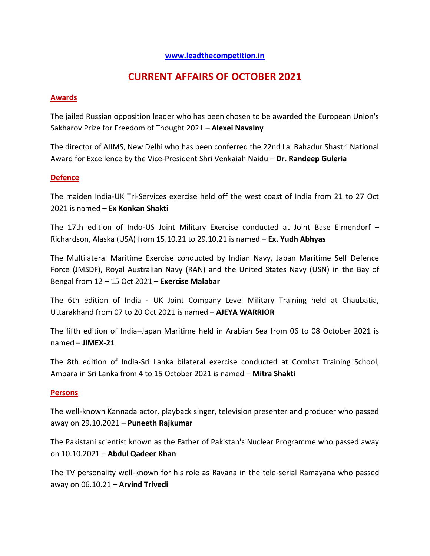### **[www.leadthecompetition.in](http://www.leadthecompetition.in/)**

# **CURRENT AFFAIRS OF OCTOBER 2021**

#### **Awards**

The jailed Russian opposition leader who has been chosen to be awarded the European Union's Sakharov Prize for Freedom of Thought 2021 – **Alexei Navalny**

The director of AIIMS, New Delhi who has been conferred the 22nd Lal Bahadur Shastri National Award for Excellence by the Vice-President Shri Venkaiah Naidu – **Dr. Randeep Guleria**

#### **Defence**

The maiden India-UK Tri-Services exercise held off the west coast of India from 21 to 27 Oct 2021 is named – **Ex Konkan Shakti**

The 17th edition of Indo-US Joint Military Exercise conducted at Joint Base Elmendorf – Richardson, Alaska (USA) from 15.10.21 to 29.10.21 is named – **Ex. Yudh Abhyas**

The Multilateral Maritime Exercise conducted by Indian Navy, Japan Maritime Self Defence Force (JMSDF), Royal Australian Navy (RAN) and the United States Navy (USN) in the Bay of Bengal from 12 – 15 Oct 2021 – **Exercise Malabar**

The 6th edition of India - UK Joint Company Level Military Training held at Chaubatia, Uttarakhand from 07 to 20 Oct 2021 is named – **AJEYA WARRIOR**

The fifth edition of India–Japan Maritime held in Arabian Sea from 06 to 08 October 2021 is named – **JIMEX-21**

The 8th edition of India-Sri Lanka bilateral exercise conducted at Combat Training School, Ampara in Sri Lanka from 4 to 15 October 2021 is named – **Mitra Shakti**

#### **Persons**

The well-known Kannada actor, playback singer, television presenter and producer who passed away on 29.10.2021 – **Puneeth Rajkumar**

The Pakistani scientist known as the Father of Pakistan's Nuclear Programme who passed away on 10.10.2021 – **Abdul Qadeer Khan**

The TV personality well-known for his role as Ravana in the tele-serial Ramayana who passed away on 06.10.21 – **Arvind Trivedi**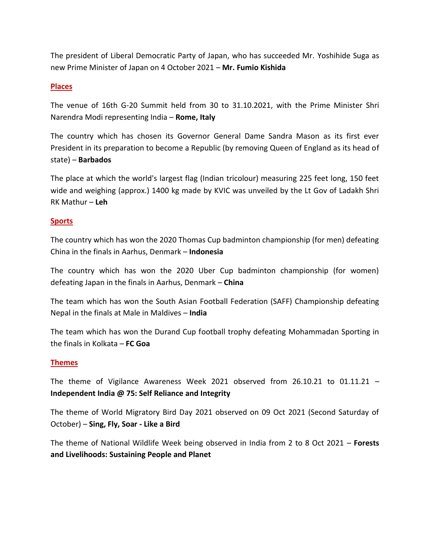The president of Liberal Democratic Party of Japan, who has succeeded Mr. Yoshihide Suga as new Prime Minister of Japan on 4 October 2021 – **Mr. Fumio Kishida**

### **Places**

The venue of 16th G-20 Summit held from 30 to 31.10.2021, with the Prime Minister Shri Narendra Modi representing India – **Rome, Italy**

The country which has chosen its Governor General Dame Sandra Mason as its first ever President in its preparation to become a Republic (by removing Queen of England as its head of state) – **Barbados**

The place at which the world's largest flag (Indian tricolour) measuring 225 feet long, 150 feet wide and weighing (approx.) 1400 kg made by KVIC was unveiled by the Lt Gov of Ladakh Shri RK Mathur – **Leh**

### **Sports**

The country which has won the 2020 Thomas Cup badminton championship (for men) defeating China in the finals in Aarhus, Denmark – **Indonesia**

The country which has won the 2020 Uber Cup badminton championship (for women) defeating Japan in the finals in Aarhus, Denmark – **China**

The team which has won the South Asian Football Federation (SAFF) Championship defeating Nepal in the finals at Male in Maldives – **India**

The team which has won the Durand Cup football trophy defeating Mohammadan Sporting in the finals in Kolkata – **FC Goa**

#### **Themes**

The theme of Vigilance Awareness Week 2021 observed from 26.10.21 to 01.11.21 – **Independent India @ 75: Self Reliance and Integrity**

The theme of World Migratory Bird Day 2021 observed on 09 Oct 2021 (Second Saturday of October) – **Sing, Fly, Soar - Like a Bird**

The theme of National Wildlife Week being observed in India from 2 to 8 Oct 2021 – **Forests and Livelihoods: Sustaining People and Planet**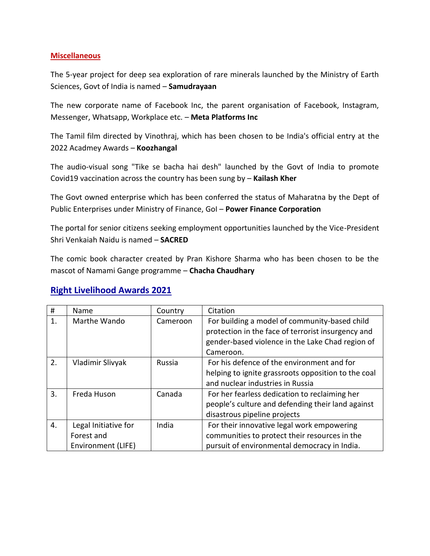### **Miscellaneous**

The 5-year project for deep sea exploration of rare minerals launched by the Ministry of Earth Sciences, Govt of India is named – **Samudrayaan**

The new corporate name of Facebook Inc, the parent organisation of Facebook, Instagram, Messenger, Whatsapp, Workplace etc. – **Meta Platforms Inc**

The Tamil film directed by Vinothraj, which has been chosen to be India's official entry at the 2022 Acadmey Awards – **Koozhangal**

The audio-visual song "Tike se bacha hai desh" launched by the Govt of India to promote Covid19 vaccination across the country has been sung by – **Kailash Kher**

The Govt owned enterprise which has been conferred the status of Maharatna by the Dept of Public Enterprises under Ministry of Finance, GoI – **Power Finance Corporation**

The portal for senior citizens seeking employment opportunities launched by the Vice-President Shri Venkaiah Naidu is named – **SACRED**

The comic book character created by Pran Kishore Sharma who has been chosen to be the mascot of Namami Gange programme – **Chacha Chaudhary**

# **Right Livelihood Awards 2021**

| #  | Name                                                     | Country  | Citation                                                                                                                                                             |
|----|----------------------------------------------------------|----------|----------------------------------------------------------------------------------------------------------------------------------------------------------------------|
| 1. | Marthe Wando                                             | Cameroon | For building a model of community-based child<br>protection in the face of terrorist insurgency and<br>gender-based violence in the Lake Chad region of<br>Cameroon. |
| 2. | Vladimir Slivyak                                         | Russia   | For his defence of the environment and for<br>helping to ignite grassroots opposition to the coal<br>and nuclear industries in Russia                                |
| 3. | Freda Huson                                              | Canada   | For her fearless dedication to reclaiming her<br>people's culture and defending their land against<br>disastrous pipeline projects                                   |
| 4. | Legal Initiative for<br>Forest and<br>Environment (LIFE) | India    | For their innovative legal work empowering<br>communities to protect their resources in the<br>pursuit of environmental democracy in India.                          |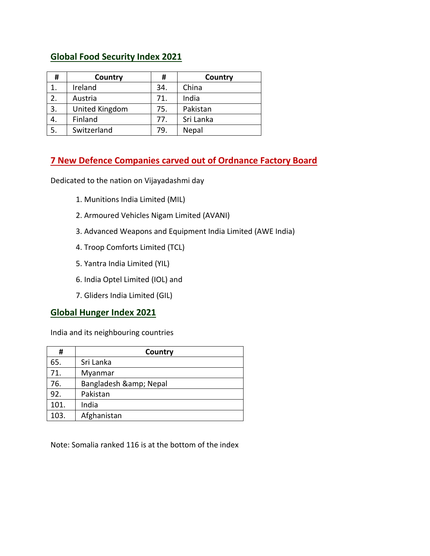# **Global Food Security Index 2021**

| #  | Country        | #   | Country   |
|----|----------------|-----|-----------|
|    | Ireland        | 34. | China     |
| 2. | Austria        | 71. | India     |
| 3. | United Kingdom | 75. | Pakistan  |
| 4. | Finland        | 77. | Sri Lanka |
| 5. | Switzerland    | 79. | Nepal     |

# **7 New Defence Companies carved out of Ordnance Factory Board**

Dedicated to the nation on Vijayadashmi day

- 1. Munitions India Limited (MIL)
- 2. Armoured Vehicles Nigam Limited (AVANI)
- 3. Advanced Weapons and Equipment India Limited (AWE India)
- 4. Troop Comforts Limited (TCL)
- 5. Yantra India Limited (YIL)
- 6. India Optel Limited (IOL) and
- 7. Gliders India Limited (GIL)

### **Global Hunger Index 2021**

India and its neighbouring countries

| #    | Country            |
|------|--------------------|
| 65.  | Sri Lanka          |
| 71.  | Myanmar            |
| 76.  | Bangladesh & Nepal |
| 92.  | Pakistan           |
| 101. | India              |
| 103. | Afghanistan        |

Note: Somalia ranked 116 is at the bottom of the index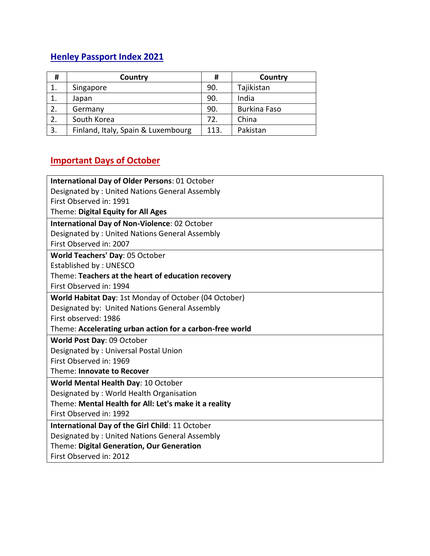# **Henley Passport Index 2021**

| #  | Country                            |      | Country             |
|----|------------------------------------|------|---------------------|
|    | Singapore                          | 90.  | Tajikistan          |
|    | Japan                              | 90.  | India               |
| 2. | Germany                            | 90.  | <b>Burkina Faso</b> |
| 2. | South Korea                        | 72.  | China               |
| 3. | Finland, Italy, Spain & Luxembourg | 113. | Pakistan            |

# **Important Days of October**

| <b>International Day of Older Persons: 01 October</b>    |  |  |
|----------------------------------------------------------|--|--|
| Designated by: United Nations General Assembly           |  |  |
| First Observed in: 1991                                  |  |  |
| Theme: Digital Equity for All Ages                       |  |  |
| International Day of Non-Violence: 02 October            |  |  |
| Designated by: United Nations General Assembly           |  |  |
| First Observed in: 2007                                  |  |  |
| World Teachers' Day: 05 October                          |  |  |
| Established by: UNESCO                                   |  |  |
| Theme: Teachers at the heart of education recovery       |  |  |
| First Observed in: 1994                                  |  |  |
| World Habitat Day: 1st Monday of October (04 October)    |  |  |
| Designated by: United Nations General Assembly           |  |  |
| First observed: 1986                                     |  |  |
| Theme: Accelerating urban action for a carbon-free world |  |  |
| World Post Day: 09 October                               |  |  |
| Designated by: Universal Postal Union                    |  |  |
| First Observed in: 1969                                  |  |  |
| Theme: Innovate to Recover                               |  |  |
| World Mental Health Day: 10 October                      |  |  |
| Designated by: World Health Organisation                 |  |  |
| Theme: Mental Health for All: Let's make it a reality    |  |  |
| First Observed in: 1992                                  |  |  |
| International Day of the Girl Child: 11 October          |  |  |
| Designated by: United Nations General Assembly           |  |  |
| Theme: Digital Generation, Our Generation                |  |  |
| First Observed in: 2012                                  |  |  |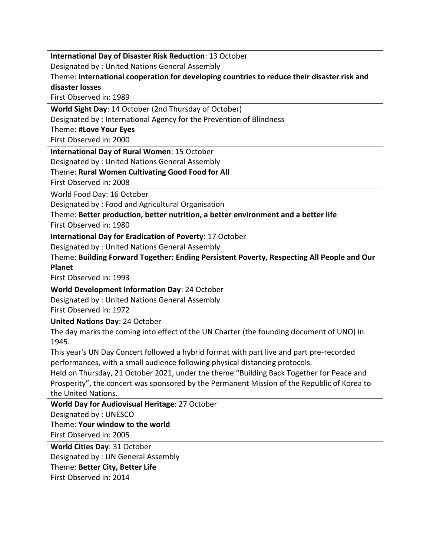**International Day of Disaster Risk Reduction**: 13 October

Designated by : United Nations General Assembly

Theme: **International cooperation for developing countries to reduce their disaster risk and disaster losses**

First Observed in: 1989

**World Sight Day**: 14 October (2nd Thursday of October)

Designated by : International Agency for the Prevention of Blindness

Theme**: #Love Your Eyes**

First Observed in: 2000

**International Day of Rural Women**: 15 October

Designated by : United Nations General Assembly

### Theme: **Rural Women Cultivating Good Food for All**

First Observed in: 2008

World Food Day: 16 October

Designated by : Food and Agricultural Organisation

Theme: **Better production, better nutrition, a better environment and a better life** First Observed in: 1980

**International Day for Eradication of Poverty**: 17 October

Designated by : United Nations General Assembly

Theme: **Building Forward Together: Ending Persistent Poverty, Respecting All People and Our Planet**

First Observed in: 1993

**World Development Information Day**: 24 October

Designated by : United Nations General Assembly

First Observed in: 1972

**United Nations Day**: 24 October

The day marks the coming into effect of the UN Charter (the founding document of UNO) in 1945.

This year's UN Day Concert followed a hybrid format with part live and part pre-recorded performances, with a small audience following physical distancing protocols.

Held on Thursday, 21 October 2021, under the theme "Building Back Together for Peace and Prosperity", the concert was sponsored by the Permanent Mission of the Republic of Korea to the United Nations.

**World Day for Audiovisual Heritage**: 27 October

Designated by : UNESCO

Theme: **Your window to the world**

First Observed in: 2005

**World Cities Day**: 31 October

Designated by : UN General Assembly

Theme: **Better City, Better Life**

First Observed in: 2014